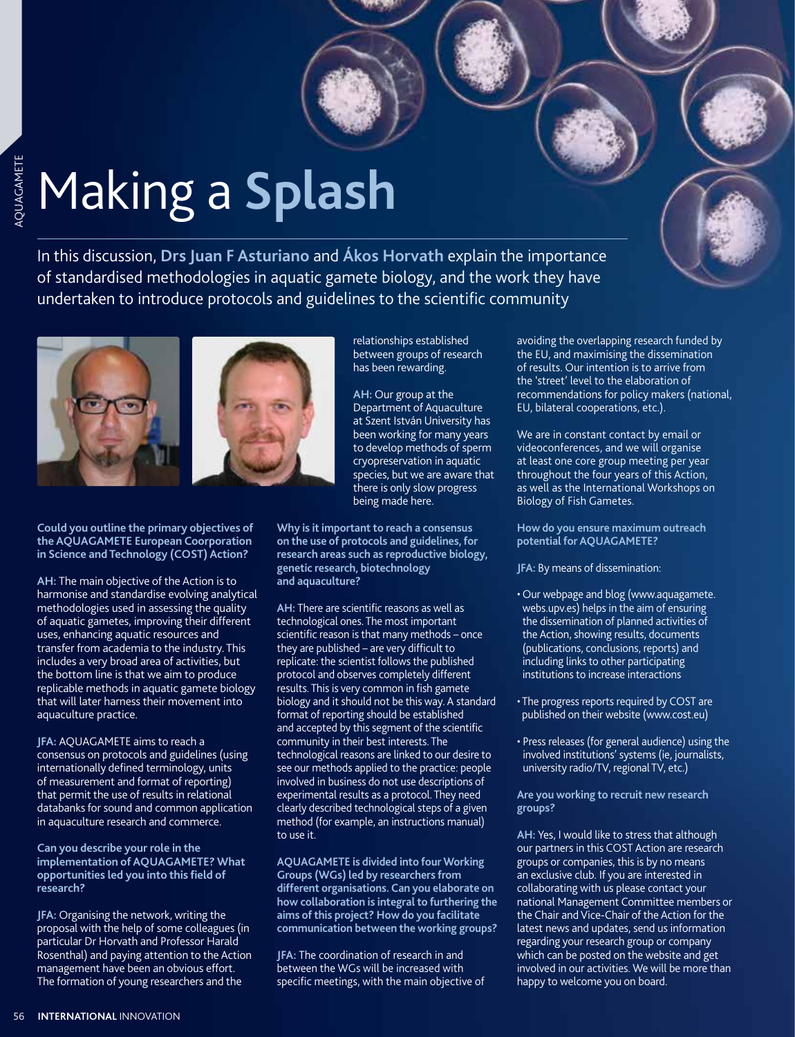# Making a **Splash**

In this discussion, **Drs Juan F Asturiano** and **Ákos Horvath** explain the importance of standardised methodologies in aquatic gamete biology, and the work they have undertaken to introduce protocols and guidelines to the scientific community



**Could you outline the primary objectives of the AQUAGAMETE European Coorporation in Science and Technology (COST) Action?**

**AH:** The main objective of the Action is to harmonise and standardise evolving analytical methodologies used in assessing the quality of aquatic gametes, improving their different uses, enhancing aquatic resources and transfer from academia to the industry. This includes a very broad area of activities, but the bottom line is that we aim to produce replicable methods in aquatic gamete biology that will later harness their movement into aquaculture practice.

**JFA:** AQUAGAMETE aims to reach a consensus on protocols and guidelines (using internationally defined terminology, units of measurement and format of reporting) that permit the use of results in relational databanks for sound and common application in aquaculture research and commerce.

**Can you describe your role in the implementation of AQUAGAMETE? What opportunities led you into this field of research?**

**JFA:** Organising the network, writing the proposal with the help of some colleagues (in particular Dr Horvath and Professor Harald Rosenthal) and paying attention to the Action management have been an obvious effort. The formation of young researchers and the

relationships established between groups of research has been rewarding.

**AH:** Our group at the Department of Aquaculture at Szent István University has been working for many years to develop methods of sperm cryopreservation in aquatic species, but we are aware that there is only slow progress being made here.

**Why is it important to reach a consensus on the use of protocols and guidelines, for research areas such as reproductive biology, genetic research, biotechnology and aquaculture?**

**AH:** There are scientific reasons as well as technological ones. The most important scientific reason is that many methods – once they are published – are very difficult to replicate: the scientist follows the published protocol and observes completely different results. This is very common in fish gamete biology and it should not be this way. A standard format of reporting should be established and accepted by this segment of the scientific community in their best interests. The technological reasons are linked to our desire to see our methods applied to the practice: people involved in business do not use descriptions of experimental results as a protocol. They need clearly described technological steps of a given method (for example, an instructions manual) to use it.

**AQUAGAMETE is divided into four Working Groups (WGs) led by researchers from different organisations. Can you elaborate on how collaboration is integral to furthering the aims of this project? How do you facilitate communication between the working groups?**

**JFA:** The coordination of research in and between the WGs will be increased with specific meetings, with the main objective of avoiding the overlapping research funded by the EU, and maximising the dissemination of results. Our intention is to arrive from the 'street' level to the elaboration of recommendations for policy makers (national, EU, bilateral cooperations, etc.).

We are in constant contact by email or videoconferences, and we will organise at least one core group meeting per year throughout the four years of this Action, as well as the International Workshops on Biology of Fish Gametes.

**How do you ensure maximum outreach potential for AQUAGAMETE?** 

**JFA:** By means of dissemination:

- Our webpage and blog (www.aquagamete. webs.upv.es) helps in the aim of ensuring the dissemination of planned activities of the Action, showing results, documents (publications, conclusions, reports) and including links to other participating institutions to increase interactions
- The progress reports required by COST are published on their website (www.cost.eu)
- Press releases (for general audience) using the involved institutions' systems (ie, journalists, university radio/TV, regional TV, etc.)

**Are you working to recruit new research groups?**

**AH:** Yes, I would like to stress that although our partners in this COST Action are research groups or companies, this is by no means an exclusive club. If you are interested in collaborating with us please contact your national Management Committee members or the Chair and Vice-Chair of the Action for the latest news and updates, send us information regarding your research group or company which can be posted on the website and get involved in our activities. We will be more than happy to welcome you on board.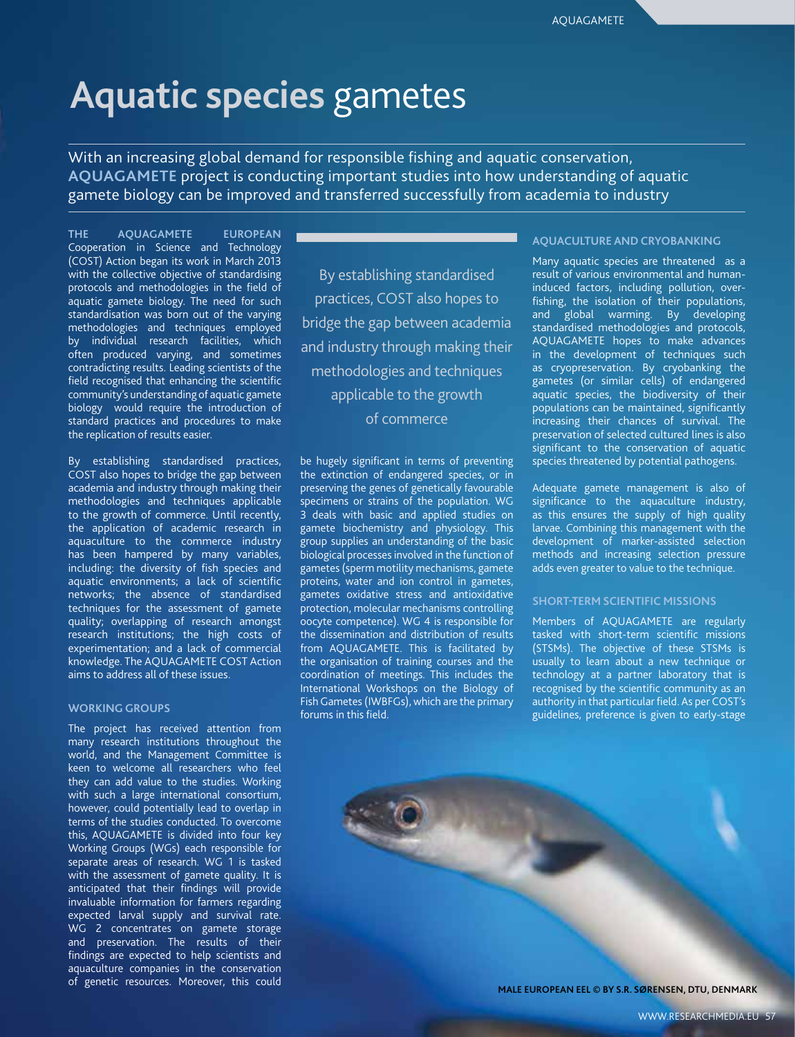# **Aquatic species** gametes

With an increasing global demand for responsible fishing and aquatic conservation, **AQUAGAMETE** project is conducting important studies into how understanding of aquatic gamete biology can be improved and transferred successfully from academia to industry

**THE AQUAGAMETE EUROPEAN**  Cooperation in Science and Technology (COST) Action began its work in March 2013 with the collective objective of standardising protocols and methodologies in the field of aquatic gamete biology. The need for such standardisation was born out of the varying methodologies and techniques employed by individual research facilities, which often produced varying, and sometimes contradicting results. Leading scientists of the field recognised that enhancing the scientific community's understanding of aquatic gamete biology would require the introduction of standard practices and procedures to make the replication of results easier.

By establishing standardised practices, COST also hopes to bridge the gap between academia and industry through making their methodologies and techniques applicable to the growth of commerce. Until recently, the application of academic research in aquaculture to the commerce industry has been hampered by many variables, including: the diversity of fish species and aquatic environments; a lack of scientific networks; the absence of standardised techniques for the assessment of gamete quality; overlapping of research amongst research institutions; the high costs of experimentation; and a lack of commercial knowledge. The AQUAGAMETE COST Action aims to address all of these issues.

#### **WORKING GROUPS**

The project has received attention from many research institutions throughout the world, and the Management Committee is keen to welcome all researchers who feel they can add value to the studies. Working with such a large international consortium, however, could potentially lead to overlap in terms of the studies conducted. To overcome this, AQUAGAMETE is divided into four key Working Groups (WGs) each responsible for separate areas of research. WG 1 is tasked with the assessment of gamete quality. It is anticipated that their findings will provide invaluable information for farmers regarding expected larval supply and survival rate. WG 2 concentrates on gamete storage and preservation. The results of their findings are expected to help scientists and aquaculture companies in the conservation of genetic resources. Moreover, this could

By establishing standardised practices, COST also hopes to bridge the gap between academia and industry through making their methodologies and techniques applicable to the growth of commerce

be hugely significant in terms of preventing the extinction of endangered species, or in preserving the genes of genetically favourable specimens or strains of the population. WG 3 deals with basic and applied studies on gamete biochemistry and physiology. This group supplies an understanding of the basic biological processes involved in the function of gametes (sperm motility mechanisms, gamete proteins, water and ion control in gametes, gametes oxidative stress and antioxidative protection, molecular mechanisms controlling oocyte competence). WG 4 is responsible for the dissemination and distribution of results from AQUAGAMETE. This is facilitated by the organisation of training courses and the coordination of meetings. This includes the International Workshops on the Biology of Fish Gametes (IWBFGs), which are the primary forums in this field.

#### **AQUACULTURE AND CRYOBANKING**

Many aquatic species are threatened as a result of various environmental and humaninduced factors, including pollution, overfishing, the isolation of their populations, and global warming. By developing standardised methodologies and protocols, AQUAGAMETE hopes to make advances in the development of techniques such as cryopreservation. By cryobanking the gametes (or similar cells) of endangered aquatic species, the biodiversity of their populations can be maintained, significantly increasing their chances of survival. The preservation of selected cultured lines is also significant to the conservation of aquatic species threatened by potential pathogens.

Adequate gamete management is also of significance to the aquaculture industry, as this ensures the supply of high quality larvae. Combining this management with the development of marker-assisted selection methods and increasing selection pressure adds even greater to value to the technique.

#### **SHORT-TERM SCIENTIFIC MISSIONS**

Members of AQUAGAMETE are regularly tasked with short-term scientific missions (STSMs). The objective of these STSMs is usually to learn about a new technique or technology at a partner laboratory that is recognised by the scientific community as an authority in that particular field. As per COST's guidelines, preference is given to early-stage